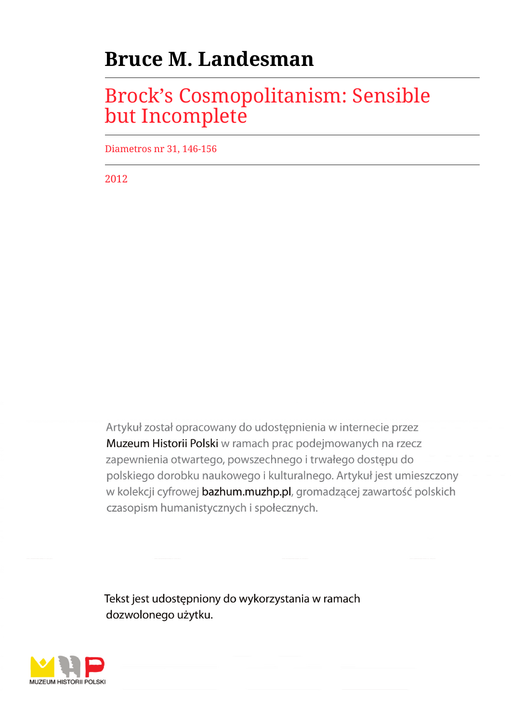# **Bruce M. Landesman**

## Brock's Cosmopolitanism: Sensible but Incomplete

Diametros nr 31, 146-156

2012

Artykuł został opracowany do udostępnienia w internecie przez Muzeum Historii Polski w ramach prac podejmowanych na rzecz zapewnienia otwartego, powszechnego i trwałego dostępu do polskiego dorobku naukowego i kulturalnego. Artykuł jest umieszczony w kolekcji cyfrowej bazhum.muzhp.pl, gromadzącej zawartość polskich czasopism humanistycznych i społecznych.

Tekst jest udostępniony do wykorzystania w ramach dozwolonego użytku.

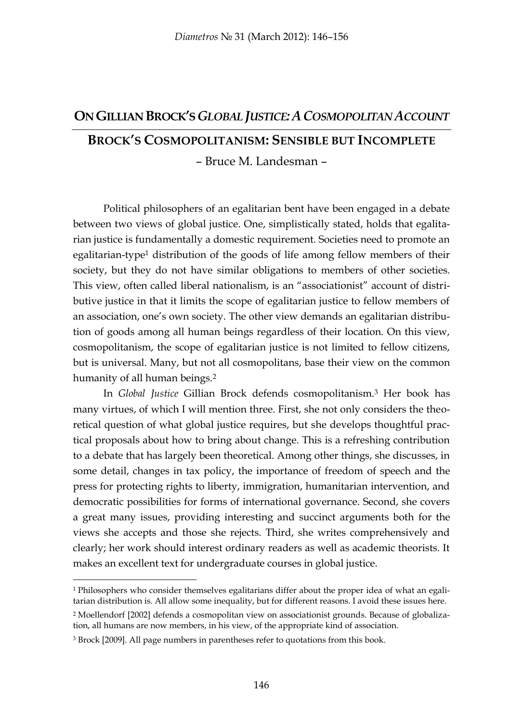### **ON GILLIAN BROCK'S** *GLOBAL JUSTICE:ACOSMOPOLITAN ACCOUNT*

## **BROCK'S COSMOPOLITANISM: SENSIBLE BUT INCOMPLETE**

– Bruce M. Landesman –

Political philosophers of an egalitarian bent have been engaged in a debate between two views of global justice. One, simplistically stated, holds that egalitarian justice is fundamentally a domestic requirement. Societies need to promote an egalitarian-type<sup>1</sup> distribution of the goods of life among fellow members of their society, but they do not have similar obligations to members of other societies. This view, often called liberal nationalism, is an "associationist" account of distributive justice in that it limits the scope of egalitarian justice to fellow members of an association, one's own society. The other view demands an egalitarian distribution of goods among all human beings regardless of their location. On this view, cosmopolitanism, the scope of egalitarian justice is not limited to fellow citizens, but is universal. Many, but not all cosmopolitans, base their view on the common humanity of all human beings.<sup>2</sup>

In *Global Justice* Gillian Brock defends cosmopolitanism.<sup>3</sup> Her book has many virtues, of which I will mention three. First, she not only considers the theoretical question of what global justice requires, but she develops thoughtful practical proposals about how to bring about change. This is a refreshing contribution to a debate that has largely been theoretical. Among other things, she discusses, in some detail, changes in tax policy, the importance of freedom of speech and the press for protecting rights to liberty, immigration, humanitarian intervention, and democratic possibilities for forms of international governance. Second, she covers a great many issues, providing interesting and succinct arguments both for the views she accepts and those she rejects. Third, she writes comprehensively and clearly; her work should interest ordinary readers as well as academic theorists. It makes an excellent text for undergraduate courses in global justice.

<sup>1</sup> Philosophers who consider themselves egalitarians differ about the proper idea of what an egalitarian distribution is. All allow some inequality, but for different reasons. I avoid these issues here.

<sup>2</sup> Moellendorf [2002] defends a cosmopolitan view on associationist grounds. Because of globalization, all humans are now members, in his view, of the appropriate kind of association.

<sup>3</sup> Brock [2009]. All page numbers in parentheses refer to quotations from this book.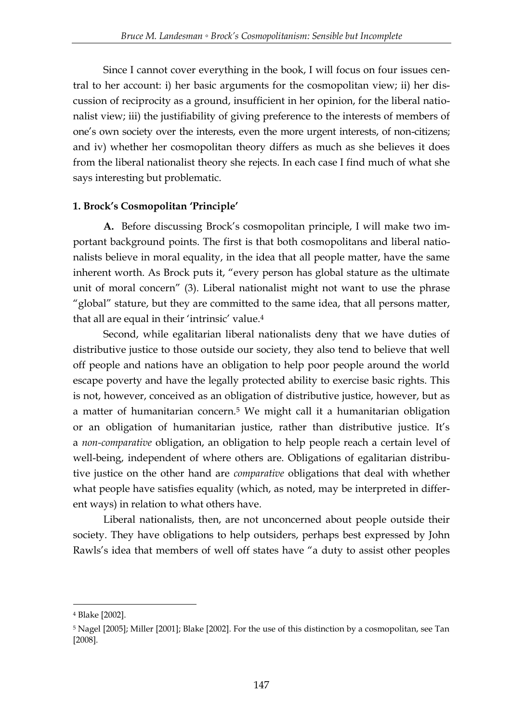Since I cannot cover everything in the book, I will focus on four issues central to her account: i) her basic arguments for the cosmopolitan view; ii) her discussion of reciprocity as a ground, insufficient in her opinion, for the liberal nationalist view; iii) the justifiability of giving preference to the interests of members of one's own society over the interests, even the more urgent interests, of non-citizens; and iv) whether her cosmopolitan theory differs as much as she believes it does from the liberal nationalist theory she rejects. In each case I find much of what she says interesting but problematic.

### **1. Brock's Cosmopolitan 'Principle'**

**A.** Before discussing Brock's cosmopolitan principle, I will make two important background points. The first is that both cosmopolitans and liberal nationalists believe in moral equality, in the idea that all people matter, have the same inherent worth. As Brock puts it, "every person has global stature as the ultimate unit of moral concern" (3). Liberal nationalist might not want to use the phrase "global" stature, but they are committed to the same idea, that all persons matter, that all are equal in their 'intrinsic' value.<sup>4</sup>

Second, while egalitarian liberal nationalists deny that we have duties of distributive justice to those outside our society, they also tend to believe that well off people and nations have an obligation to help poor people around the world escape poverty and have the legally protected ability to exercise basic rights. This is not, however, conceived as an obligation of distributive justice, however, but as a matter of humanitarian concern.<sup>5</sup> We might call it a humanitarian obligation or an obligation of humanitarian justice, rather than distributive justice. It's a *non-comparative* obligation, an obligation to help people reach a certain level of well-being, independent of where others are. Obligations of egalitarian distributive justice on the other hand are *comparative* obligations that deal with whether what people have satisfies equality (which, as noted, may be interpreted in different ways) in relation to what others have.

Liberal nationalists, then, are not unconcerned about people outside their society. They have obligations to help outsiders, perhaps best expressed by John Rawls's idea that members of well off states have "a duty to assist other peoples

<u>.</u>

<sup>4</sup> Blake [2002].

<sup>5</sup> Nagel [2005]; Miller [2001]; Blake [2002]. For the use of this distinction by a cosmopolitan, see Tan [2008].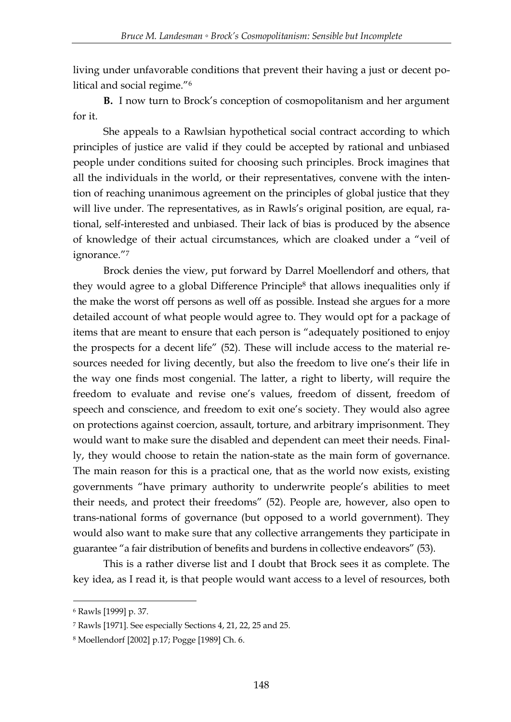living under unfavorable conditions that prevent their having a just or decent political and social regime."<sup>6</sup>

**B.** I now turn to Brock's conception of cosmopolitanism and her argument for it.

She appeals to a Rawlsian hypothetical social contract according to which principles of justice are valid if they could be accepted by rational and unbiased people under conditions suited for choosing such principles. Brock imagines that all the individuals in the world, or their representatives, convene with the intention of reaching unanimous agreement on the principles of global justice that they will live under. The representatives, as in Rawls's original position, are equal, rational, self-interested and unbiased. Their lack of bias is produced by the absence of knowledge of their actual circumstances, which are cloaked under a "veil of ignorance."7

Brock denies the view, put forward by Darrel Moellendorf and others, that they would agree to a global Difference Principle<sup>8</sup> that allows inequalities only if the make the worst off persons as well off as possible. Instead she argues for a more detailed account of what people would agree to. They would opt for a package of items that are meant to ensure that each person is "adequately positioned to enjoy the prospects for a decent life" (52). These will include access to the material resources needed for living decently, but also the freedom to live one's their life in the way one finds most congenial. The latter, a right to liberty, will require the freedom to evaluate and revise one's values, freedom of dissent, freedom of speech and conscience, and freedom to exit one's society. They would also agree on protections against coercion, assault, torture, and arbitrary imprisonment. They would want to make sure the disabled and dependent can meet their needs. Finally, they would choose to retain the nation-state as the main form of governance. The main reason for this is a practical one, that as the world now exists, existing governments "have primary authority to underwrite people's abilities to meet their needs, and protect their freedoms" (52). People are, however, also open to trans-national forms of governance (but opposed to a world government). They would also want to make sure that any collective arrangements they participate in guarantee "a fair distribution of benefits and burdens in collective endeavors" (53).

This is a rather diverse list and I doubt that Brock sees it as complete. The key idea, as I read it, is that people would want access to a level of resources, both

<sup>6</sup> Rawls [1999] p. 37.

<sup>7</sup> Rawls [1971]. See especially Sections 4, 21, 22, 25 and 25.

<sup>8</sup> Moellendorf [2002] p.17; Pogge [1989] Ch. 6.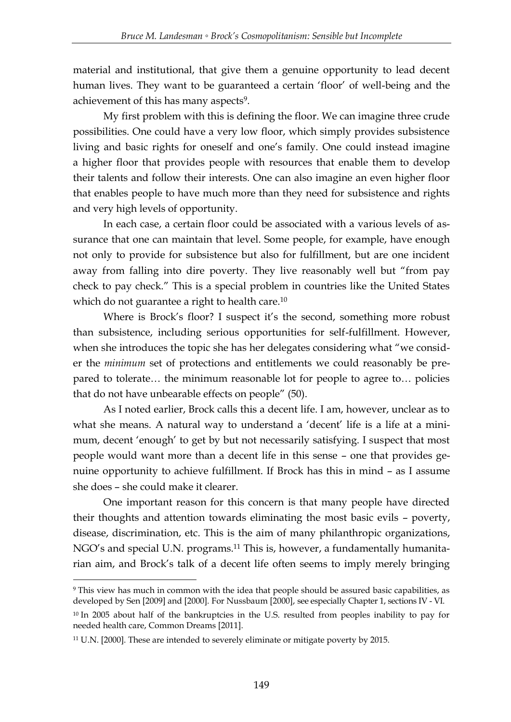material and institutional, that give them a genuine opportunity to lead decent human lives. They want to be guaranteed a certain 'floor' of well-being and the achievement of this has many aspects<sup>9</sup>.

My first problem with this is defining the floor. We can imagine three crude possibilities. One could have a very low floor, which simply provides subsistence living and basic rights for oneself and one's family. One could instead imagine a higher floor that provides people with resources that enable them to develop their talents and follow their interests. One can also imagine an even higher floor that enables people to have much more than they need for subsistence and rights and very high levels of opportunity.

In each case, a certain floor could be associated with a various levels of assurance that one can maintain that level. Some people, for example, have enough not only to provide for subsistence but also for fulfillment, but are one incident away from falling into dire poverty. They live reasonably well but "from pay check to pay check.‖ This is a special problem in countries like the United States which do not guarantee a right to health care.<sup>10</sup>

Where is Brock's floor? I suspect it's the second, something more robust than subsistence, including serious opportunities for self-fulfillment. However, when she introduces the topic she has her delegates considering what "we consider the *minimum* set of protections and entitlements we could reasonably be prepared to tolerate… the minimum reasonable lot for people to agree to… policies that do not have unbearable effects on people" (50).

As I noted earlier, Brock calls this a decent life. I am, however, unclear as to what she means. A natural way to understand a 'decent' life is a life at a minimum, decent 'enough' to get by but not necessarily satisfying. I suspect that most people would want more than a decent life in this sense – one that provides genuine opportunity to achieve fulfillment. If Brock has this in mind – as I assume she does – she could make it clearer.

One important reason for this concern is that many people have directed their thoughts and attention towards eliminating the most basic evils – poverty, disease, discrimination, etc. This is the aim of many philanthropic organizations, NGO's and special U.N. programs.<sup>11</sup> This is, however, a fundamentally humanitarian aim, and Brock's talk of a decent life often seems to imply merely bringing

<sup>9</sup> This view has much in common with the idea that people should be assured basic capabilities, as developed by Sen [2009] and [2000]. For Nussbaum [2000], see especially Chapter 1, sections IV - VI.

<sup>&</sup>lt;sup>10</sup> In 2005 about half of the bankruptcies in the U.S. resulted from peoples inability to pay for needed health care, Common Dreams [2011].

<sup>11</sup> U.N. [2000]. These are intended to severely eliminate or mitigate poverty by 2015.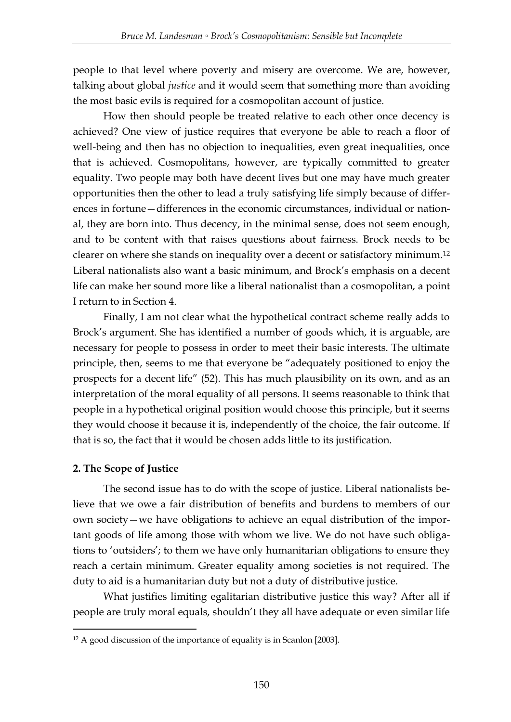people to that level where poverty and misery are overcome. We are, however, talking about global *justice* and it would seem that something more than avoiding the most basic evils is required for a cosmopolitan account of justice.

How then should people be treated relative to each other once decency is achieved? One view of justice requires that everyone be able to reach a floor of well-being and then has no objection to inequalities, even great inequalities, once that is achieved. Cosmopolitans, however, are typically committed to greater equality. Two people may both have decent lives but one may have much greater opportunities then the other to lead a truly satisfying life simply because of differences in fortune—differences in the economic circumstances, individual or national, they are born into. Thus decency, in the minimal sense, does not seem enough, and to be content with that raises questions about fairness. Brock needs to be clearer on where she stands on inequality over a decent or satisfactory minimum.<sup>12</sup> Liberal nationalists also want a basic minimum, and Brock's emphasis on a decent life can make her sound more like a liberal nationalist than a cosmopolitan, a point I return to in Section 4.

Finally, I am not clear what the hypothetical contract scheme really adds to Brock's argument. She has identified a number of goods which, it is arguable, are necessary for people to possess in order to meet their basic interests. The ultimate principle, then, seems to me that everyone be "adequately positioned to enjoy the prospects for a decent life" (52). This has much plausibility on its own, and as an interpretation of the moral equality of all persons. It seems reasonable to think that people in a hypothetical original position would choose this principle, but it seems they would choose it because it is, independently of the choice, the fair outcome. If that is so, the fact that it would be chosen adds little to its justification.

### **2. The Scope of Justice**

-

The second issue has to do with the scope of justice. Liberal nationalists believe that we owe a fair distribution of benefits and burdens to members of our own society—we have obligations to achieve an equal distribution of the important goods of life among those with whom we live. We do not have such obligations to 'outsiders'; to them we have only humanitarian obligations to ensure they reach a certain minimum. Greater equality among societies is not required. The duty to aid is a humanitarian duty but not a duty of distributive justice.

What justifies limiting egalitarian distributive justice this way? After all if people are truly moral equals, shouldn't they all have adequate or even similar life

<sup>&</sup>lt;sup>12</sup> A good discussion of the importance of equality is in Scanlon [2003].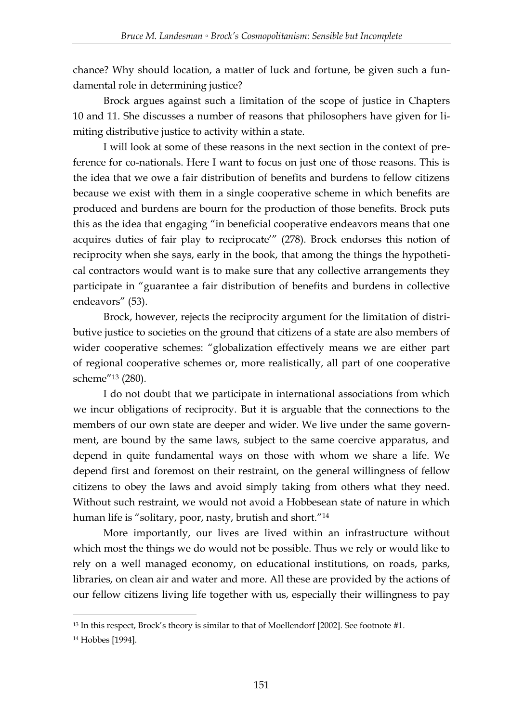chance? Why should location, a matter of luck and fortune, be given such a fundamental role in determining justice?

Brock argues against such a limitation of the scope of justice in Chapters 10 and 11. She discusses a number of reasons that philosophers have given for limiting distributive justice to activity within a state.

I will look at some of these reasons in the next section in the context of preference for co-nationals. Here I want to focus on just one of those reasons. This is the idea that we owe a fair distribution of benefits and burdens to fellow citizens because we exist with them in a single cooperative scheme in which benefits are produced and burdens are bourn for the production of those benefits. Brock puts this as the idea that engaging "in beneficial cooperative endeavors means that one acquires duties of fair play to reciprocate" (278). Brock endorses this notion of reciprocity when she says, early in the book, that among the things the hypothetical contractors would want is to make sure that any collective arrangements they participate in "guarantee a fair distribution of benefits and burdens in collective endeavors" (53).

Brock, however, rejects the reciprocity argument for the limitation of distributive justice to societies on the ground that citizens of a state are also members of wider cooperative schemes: "globalization effectively means we are either part of regional cooperative schemes or, more realistically, all part of one cooperative scheme"<sup>13</sup> (280).

I do not doubt that we participate in international associations from which we incur obligations of reciprocity. But it is arguable that the connections to the members of our own state are deeper and wider. We live under the same government, are bound by the same laws, subject to the same coercive apparatus, and depend in quite fundamental ways on those with whom we share a life. We depend first and foremost on their restraint, on the general willingness of fellow citizens to obey the laws and avoid simply taking from others what they need. Without such restraint, we would not avoid a Hobbesean state of nature in which human life is "solitary, poor, nasty, brutish and short."<sup>14</sup>

More importantly, our lives are lived within an infrastructure without which most the things we do would not be possible. Thus we rely or would like to rely on a well managed economy, on educational institutions, on roads, parks, libraries, on clean air and water and more. All these are provided by the actions of our fellow citizens living life together with us, especially their willingness to pay

<sup>13</sup> In this respect, Brock's theory is similar to that of Moellendorf [2002]. See footnote #1.

<sup>14</sup> Hobbes [1994].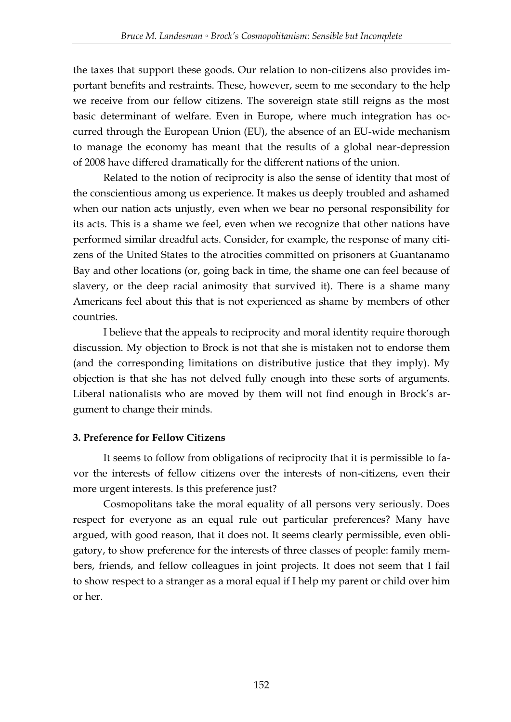the taxes that support these goods. Our relation to non-citizens also provides important benefits and restraints. These, however, seem to me secondary to the help we receive from our fellow citizens. The sovereign state still reigns as the most basic determinant of welfare. Even in Europe, where much integration has occurred through the European Union (EU), the absence of an EU-wide mechanism to manage the economy has meant that the results of a global near-depression of 2008 have differed dramatically for the different nations of the union.

Related to the notion of reciprocity is also the sense of identity that most of the conscientious among us experience. It makes us deeply troubled and ashamed when our nation acts unjustly, even when we bear no personal responsibility for its acts. This is a shame we feel, even when we recognize that other nations have performed similar dreadful acts. Consider, for example, the response of many citizens of the United States to the atrocities committed on prisoners at Guantanamo Bay and other locations (or, going back in time, the shame one can feel because of slavery, or the deep racial animosity that survived it). There is a shame many Americans feel about this that is not experienced as shame by members of other countries.

I believe that the appeals to reciprocity and moral identity require thorough discussion. My objection to Brock is not that she is mistaken not to endorse them (and the corresponding limitations on distributive justice that they imply). My objection is that she has not delved fully enough into these sorts of arguments. Liberal nationalists who are moved by them will not find enough in Brock's argument to change their minds.

### **3. Preference for Fellow Citizens**

It seems to follow from obligations of reciprocity that it is permissible to favor the interests of fellow citizens over the interests of non-citizens, even their more urgent interests. Is this preference just?

Cosmopolitans take the moral equality of all persons very seriously. Does respect for everyone as an equal rule out particular preferences? Many have argued, with good reason, that it does not. It seems clearly permissible, even obligatory, to show preference for the interests of three classes of people: family members, friends, and fellow colleagues in joint projects. It does not seem that I fail to show respect to a stranger as a moral equal if I help my parent or child over him or her.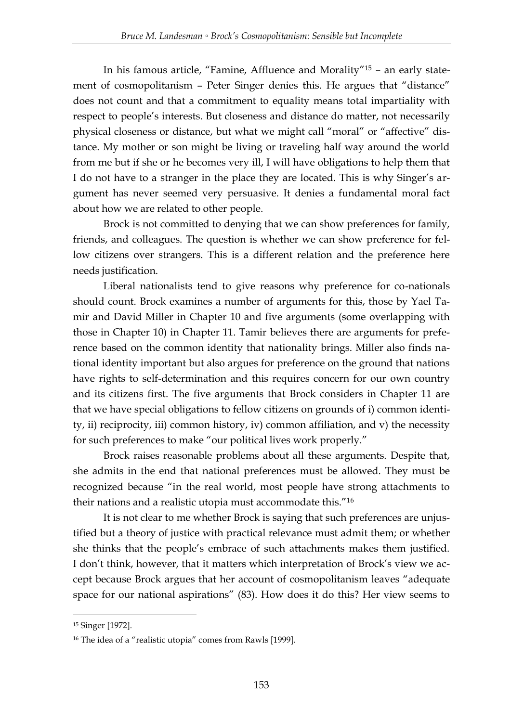In his famous article, "Famine, Affluence and Morality"<sup>15</sup> – an early statement of cosmopolitanism – Peter Singer denies this. He argues that "distance" does not count and that a commitment to equality means total impartiality with respect to people's interests. But closeness and distance do matter, not necessarily physical closeness or distance, but what we might call "moral" or "affective" distance. My mother or son might be living or traveling half way around the world from me but if she or he becomes very ill, I will have obligations to help them that I do not have to a stranger in the place they are located. This is why Singer's argument has never seemed very persuasive. It denies a fundamental moral fact about how we are related to other people.

Brock is not committed to denying that we can show preferences for family, friends, and colleagues. The question is whether we can show preference for fellow citizens over strangers. This is a different relation and the preference here needs justification.

Liberal nationalists tend to give reasons why preference for co-nationals should count. Brock examines a number of arguments for this, those by Yael Tamir and David Miller in Chapter 10 and five arguments (some overlapping with those in Chapter 10) in Chapter 11. Tamir believes there are arguments for preference based on the common identity that nationality brings. Miller also finds national identity important but also argues for preference on the ground that nations have rights to self-determination and this requires concern for our own country and its citizens first. The five arguments that Brock considers in Chapter 11 are that we have special obligations to fellow citizens on grounds of i) common identity, ii) reciprocity, iii) common history, iv) common affiliation, and v) the necessity for such preferences to make "our political lives work properly."

Brock raises reasonable problems about all these arguments. Despite that, she admits in the end that national preferences must be allowed. They must be recognized because "in the real world, most people have strong attachments to their nations and a realistic utopia must accommodate this."<sup>16</sup>

It is not clear to me whether Brock is saying that such preferences are unjustified but a theory of justice with practical relevance must admit them; or whether she thinks that the people's embrace of such attachments makes them justified. I don't think, however, that it matters which interpretation of Brock's view we accept because Brock argues that her account of cosmopolitanism leaves "adequate space for our national aspirations" (83). How does it do this? Her view seems to

<sup>15</sup> Singer [1972].

<sup>&</sup>lt;sup>16</sup> The idea of a "realistic utopia" comes from Rawls [1999].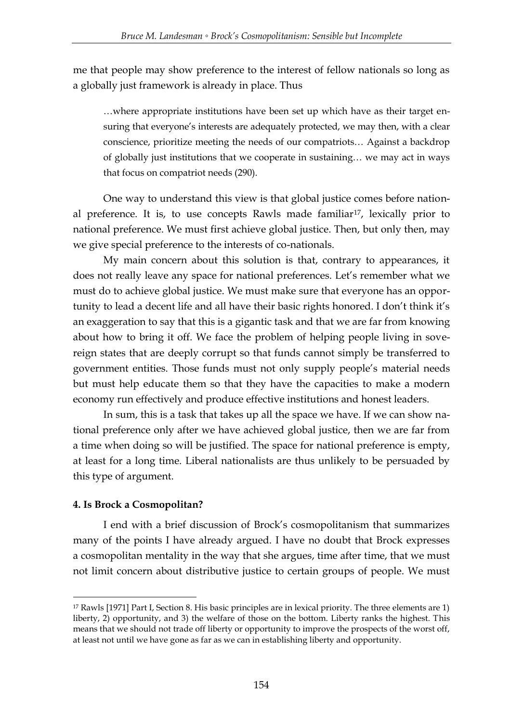me that people may show preference to the interest of fellow nationals so long as a globally just framework is already in place. Thus

…where appropriate institutions have been set up which have as their target ensuring that everyone's interests are adequately protected, we may then, with a clear conscience, prioritize meeting the needs of our compatriots… Against a backdrop of globally just institutions that we cooperate in sustaining… we may act in ways that focus on compatriot needs (290).

One way to understand this view is that global justice comes before national preference. It is, to use concepts Rawls made familiar17, lexically prior to national preference. We must first achieve global justice. Then, but only then, may we give special preference to the interests of co-nationals.

My main concern about this solution is that, contrary to appearances, it does not really leave any space for national preferences. Let's remember what we must do to achieve global justice. We must make sure that everyone has an opportunity to lead a decent life and all have their basic rights honored. I don't think it's an exaggeration to say that this is a gigantic task and that we are far from knowing about how to bring it off. We face the problem of helping people living in sovereign states that are deeply corrupt so that funds cannot simply be transferred to government entities. Those funds must not only supply people's material needs but must help educate them so that they have the capacities to make a modern economy run effectively and produce effective institutions and honest leaders.

In sum, this is a task that takes up all the space we have. If we can show national preference only after we have achieved global justice, then we are far from a time when doing so will be justified. The space for national preference is empty, at least for a long time. Liberal nationalists are thus unlikely to be persuaded by this type of argument.

### **4. Is Brock a Cosmopolitan?**

-

I end with a brief discussion of Brock's cosmopolitanism that summarizes many of the points I have already argued. I have no doubt that Brock expresses a cosmopolitan mentality in the way that she argues, time after time, that we must not limit concern about distributive justice to certain groups of people. We must

<sup>17</sup> Rawls [1971] Part I, Section 8. His basic principles are in lexical priority. The three elements are 1) liberty, 2) opportunity, and 3) the welfare of those on the bottom. Liberty ranks the highest. This means that we should not trade off liberty or opportunity to improve the prospects of the worst off, at least not until we have gone as far as we can in establishing liberty and opportunity.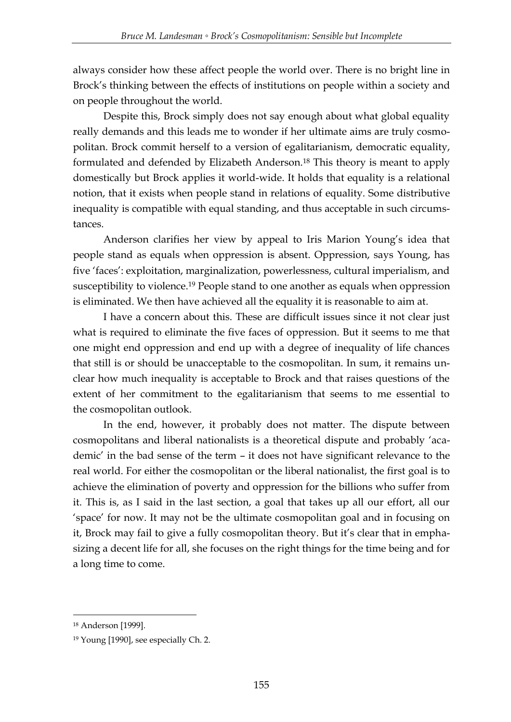always consider how these affect people the world over. There is no bright line in Brock's thinking between the effects of institutions on people within a society and on people throughout the world.

Despite this, Brock simply does not say enough about what global equality really demands and this leads me to wonder if her ultimate aims are truly cosmopolitan. Brock commit herself to a version of egalitarianism, democratic equality, formulated and defended by Elizabeth Anderson.<sup>18</sup> This theory is meant to apply domestically but Brock applies it world-wide. It holds that equality is a relational notion, that it exists when people stand in relations of equality. Some distributive inequality is compatible with equal standing, and thus acceptable in such circumstances.

Anderson clarifies her view by appeal to Iris Marion Young's idea that people stand as equals when oppression is absent. Oppression, says Young, has five 'faces': exploitation, marginalization, powerlessness, cultural imperialism, and susceptibility to violence.<sup>19</sup> People stand to one another as equals when oppression is eliminated. We then have achieved all the equality it is reasonable to aim at.

I have a concern about this. These are difficult issues since it not clear just what is required to eliminate the five faces of oppression. But it seems to me that one might end oppression and end up with a degree of inequality of life chances that still is or should be unacceptable to the cosmopolitan. In sum, it remains unclear how much inequality is acceptable to Brock and that raises questions of the extent of her commitment to the egalitarianism that seems to me essential to the cosmopolitan outlook.

In the end, however, it probably does not matter. The dispute between cosmopolitans and liberal nationalists is a theoretical dispute and probably ‗academic' in the bad sense of the term – it does not have significant relevance to the real world. For either the cosmopolitan or the liberal nationalist, the first goal is to achieve the elimination of poverty and oppression for the billions who suffer from it. This is, as I said in the last section, a goal that takes up all our effort, all our ‗space' for now. It may not be the ultimate cosmopolitan goal and in focusing on it, Brock may fail to give a fully cosmopolitan theory. But it's clear that in emphasizing a decent life for all, she focuses on the right things for the time being and for a long time to come.

<sup>18</sup> Anderson [1999].

<sup>19</sup> Young [1990], see especially Ch. 2.